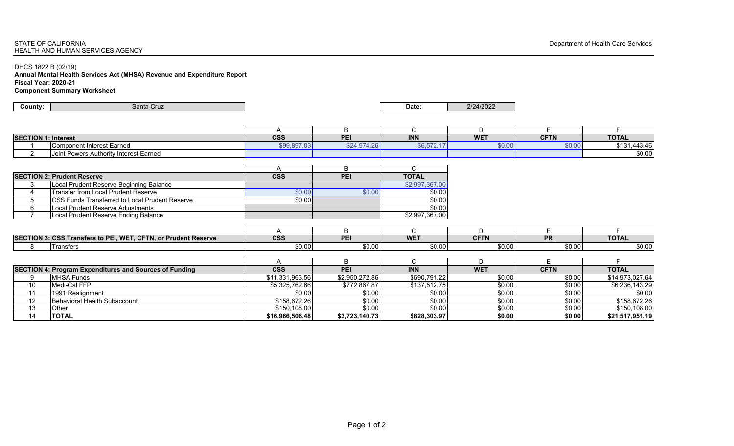## STATE OF CALIFORNIAHEALTH AND HUMAN SERVICES AGENCY

DHCS 1822 B (02/19)

**Annual Mental Health Services Act (MHSA) Revenue and Expenditure Report Fiscal Year: 2020-21 Component Summary Worksheet**

| County:                    | Santa Cruz                                                     |                         |                | Date:          | 2/24/2022   |             |                 |
|----------------------------|----------------------------------------------------------------|-------------------------|----------------|----------------|-------------|-------------|-----------------|
|                            |                                                                |                         |                |                |             |             |                 |
|                            |                                                                | A                       | B              | C              | D           | E           | F               |
| <b>SECTION 1: Interest</b> |                                                                | $\overline{\text{css}}$ | PEI            | <b>INN</b>     | <b>WET</b>  | <b>CFTN</b> | <b>TOTAL</b>    |
|                            | <b>Component Interest Earned</b>                               | \$99,897.03             | \$24,974.26    | \$6,572.17     | \$0.00      | \$0.00      | \$131,443.46    |
| $\overline{2}$             | Joint Powers Authority Interest Earned                         |                         |                |                |             |             | \$0.00          |
|                            |                                                                |                         |                |                |             |             |                 |
|                            |                                                                | A                       | B              | $\mathsf{C}$   |             |             |                 |
|                            | <b>SECTION 2: Prudent Reserve</b>                              | <b>CSS</b>              | PEI            | <b>TOTAL</b>   |             |             |                 |
| 3                          | Local Prudent Reserve Beginning Balance                        |                         |                | \$2,997,367.00 |             |             |                 |
| 4                          | <b>Transfer from Local Prudent Reserve</b>                     | \$0.00                  | \$0.00         | \$0.00         |             |             |                 |
| 5                          | CSS Funds Transferred to Local Prudent Reserve                 | \$0.00                  |                | \$0.00         |             |             |                 |
| 6                          | Local Prudent Reserve Adjustments                              |                         |                | \$0.00         |             |             |                 |
| $\overline{7}$             | Local Prudent Reserve Ending Balance                           |                         |                | \$2,997,367.00 |             |             |                 |
|                            |                                                                |                         |                |                |             |             |                 |
|                            |                                                                | A                       | B              | C              | D           | Е           | F.              |
|                            | SECTION 3: CSS Transfers to PEI, WET, CFTN, or Prudent Reserve | $\overline{\text{css}}$ | PEI            | <b>WET</b>     | <b>CFTN</b> | PR          | <b>TOTAL</b>    |
| 8                          | Transfers                                                      | \$0.00                  | \$0.00         | \$0.00         | \$0.00      | \$0.00      | \$0.00          |
|                            |                                                                |                         |                |                |             |             |                 |
|                            |                                                                | A                       | B              | C              | D           | E           | E.              |
|                            | <b>SECTION 4: Program Expenditures and Sources of Funding</b>  | <b>CSS</b>              | PEI            | <b>INN</b>     | <b>WET</b>  | <b>CFTN</b> | <b>TOTAL</b>    |
| 9                          | <b>MHSA Funds</b>                                              | \$11,331,963.56         | \$2,950,272.86 | \$690,791.22   | \$0.00      | \$0.00      | \$14,973,027.64 |
| 10                         | Medi-Cal FFP                                                   | \$5,325,762.66          | \$772,867.87   | \$137,512.75   | \$0.00      | \$0.00      | \$6,236,143.29  |
| 11                         | 1991 Realignment                                               | \$0.00                  | \$0.00         | \$0.00         | \$0.00      | \$0.00      | \$0.00          |
| $\overline{12}$            | Behavioral Health Subaccount                                   | \$158,672.26            | \$0.00         | \$0.00         | \$0.00      | \$0.00      | \$158,672.26    |
| 13                         | Other                                                          | \$150,108.00            | \$0.00         | \$0.00         | \$0.00      | \$0.00      | \$150,108.00    |
| 14                         | <b>TOTAL</b>                                                   | \$16,966,506.48         | \$3,723,140.73 | \$828,303.97   | \$0.00      | \$0.00      | \$21,517,951.19 |